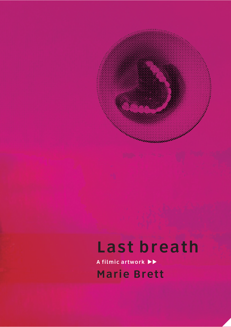## Last breath

A filmic artwork  $\blacktriangleright\blacktriangleright$ Marie Brett